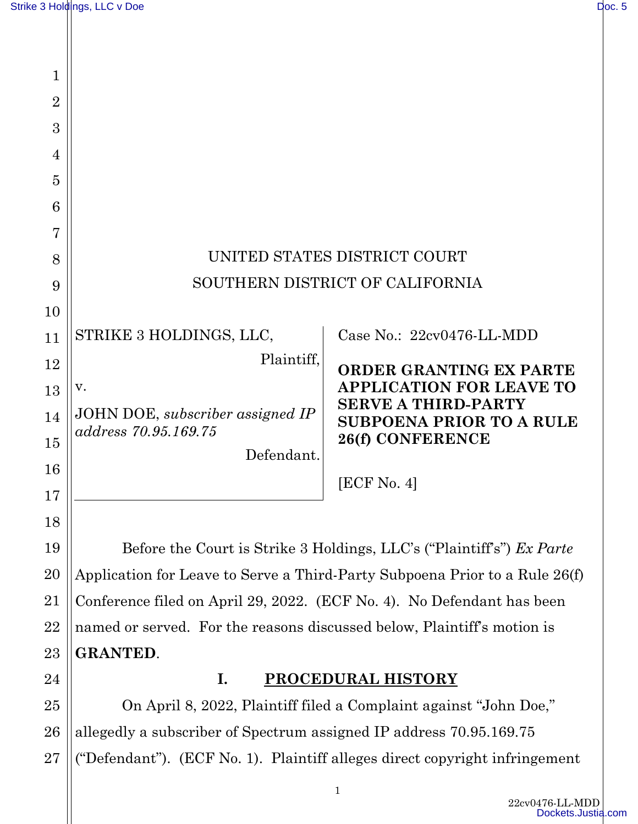| $\mathbf 1$    |                                    |                                                        |
|----------------|------------------------------------|--------------------------------------------------------|
| $\overline{2}$ |                                    |                                                        |
| 3              |                                    |                                                        |
| 4              |                                    |                                                        |
| 5              |                                    |                                                        |
| 6              |                                    |                                                        |
| $\overline{7}$ |                                    |                                                        |
| 8              | UNITED STATES DISTRICT COURT       |                                                        |
| 9              | SOUTHERN DISTRICT OF CALIFORNIA    |                                                        |
| 10             |                                    |                                                        |
| 11             | STRIKE 3 HOLDINGS, LLC,            | Case No.: 22cv0476-LL-MDD                              |
| 12             | Plaintiff,                         | <b>ORDER GRANTING EX PARTE</b>                         |
| 13             | V.                                 | <b>APPLICATION FOR LEAVE TO</b>                        |
| 14             | JOHN DOE, subscriber assigned IP   | <b>SERVE A THIRD-PARTY</b><br>SUBPOENA PRIOR TO A RULE |
| 15             | address 70.95.169.75<br>Defendant. | 26(f) CONFERENCE                                       |
| 16             |                                    |                                                        |
| 17             |                                    | [ECF No. 4]                                            |
| 18             |                                    |                                                        |

Before the Court is Strike 3 Holdings, LLC's ("Plaintiff's") *Ex Parte*  Application for Leave to Serve a Third-Party Subpoena Prior to a Rule 26(f) Conference filed on April 29, 2022. (ECF No. 4). No Defendant has been named or served. For the reasons discussed below, Plaintiff's motion is **GRANTED**.

24

19

20

21

22

23

#### **I. PROCEDURAL HISTORY**

25 26 27 On April 8, 2022, Plaintiff filed a Complaint against "John Doe," allegedly a subscriber of Spectrum assigned IP address 70.95.169.75 ("Defendant"). (ECF No. 1). Plaintiff alleges direct copyright infringement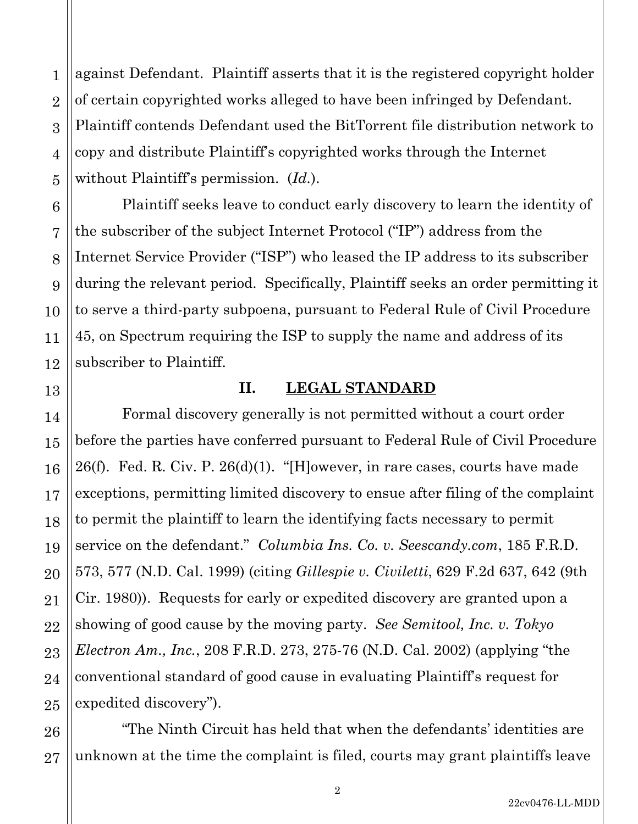against Defendant. Plaintiff asserts that it is the registered copyright holder of certain copyrighted works alleged to have been infringed by Defendant. Plaintiff contends Defendant used the BitTorrent file distribution network to copy and distribute Plaintiff's copyrighted works through the Internet without Plaintiff's permission. (*Id.*).

Plaintiff seeks leave to conduct early discovery to learn the identity of the subscriber of the subject Internet Protocol ("IP") address from the Internet Service Provider ("ISP") who leased the IP address to its subscriber during the relevant period. Specifically, Plaintiff seeks an order permitting it to serve a third-party subpoena, pursuant to Federal Rule of Civil Procedure 45, on Spectrum requiring the ISP to supply the name and address of its subscriber to Plaintiff.

#### **II. LEGAL STANDARD**

Formal discovery generally is not permitted without a court order before the parties have conferred pursuant to Federal Rule of Civil Procedure 26(f). Fed. R. Civ. P.  $26(d)(1)$ . "[H]owever, in rare cases, courts have made exceptions, permitting limited discovery to ensue after filing of the complaint to permit the plaintiff to learn the identifying facts necessary to permit service on the defendant." *Columbia Ins. Co. v. Seescandy.com*, 185 F.R.D. 573, 577 (N.D. Cal. 1999) (citing *Gillespie v. Civiletti*, 629 F.2d 637, 642 (9th Cir. 1980)). Requests for early or expedited discovery are granted upon a showing of good cause by the moving party. *See Semitool, Inc. v. Tokyo Electron Am., Inc.*, 208 F.R.D. 273, 275-76 (N.D. Cal. 2002) (applying "the conventional standard of good cause in evaluating Plaintiff's request for expedited discovery").

"The Ninth Circuit has held that when the defendants' identities are unknown at the time the complaint is filed, courts may grant plaintiffs leave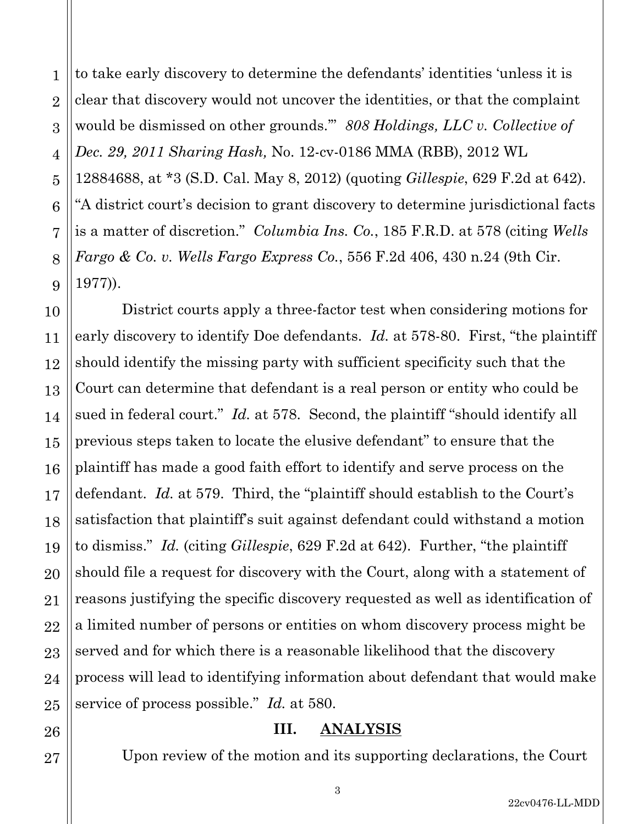1 2 3 4 5 6 7 8 9 to take early discovery to determine the defendants' identities 'unless it is clear that discovery would not uncover the identities, or that the complaint would be dismissed on other grounds.'" *808 Holdings, LLC v. Collective of Dec. 29, 2011 Sharing Hash,* No. 12-cv-0186 MMA (RBB), 2012 WL 12884688, at \*3 (S.D. Cal. May 8, 2012) (quoting *Gillespie*, 629 F.2d at 642). "A district court's decision to grant discovery to determine jurisdictional facts is a matter of discretion." *Columbia Ins. Co.*, 185 F.R.D. at 578 (citing *Wells Fargo & Co. v. Wells Fargo Express Co.*, 556 F.2d 406, 430 n.24 (9th Cir. 1977)). District courts apply a three-factor test when considering motions for early discovery to identify Doe defendants. *Id.* at 578-80. First, "the plaintiff

should identify the missing party with sufficient specificity such that the Court can determine that defendant is a real person or entity who could be sued in federal court." *Id.* at 578. Second, the plaintiff "should identify all previous steps taken to locate the elusive defendant" to ensure that the plaintiff has made a good faith effort to identify and serve process on the defendant. *Id.* at 579. Third, the "plaintiff should establish to the Court's satisfaction that plaintiff's suit against defendant could withstand a motion to dismiss." *Id.* (citing *Gillespie*, 629 F.2d at 642). Further, "the plaintiff should file a request for discovery with the Court, along with a statement of reasons justifying the specific discovery requested as well as identification of a limited number of persons or entities on whom discovery process might be served and for which there is a reasonable likelihood that the discovery process will lead to identifying information about defendant that would make service of process possible." *Id.* at 580.

## **III. ANALYSIS**

Upon review of the motion and its supporting declarations, the Court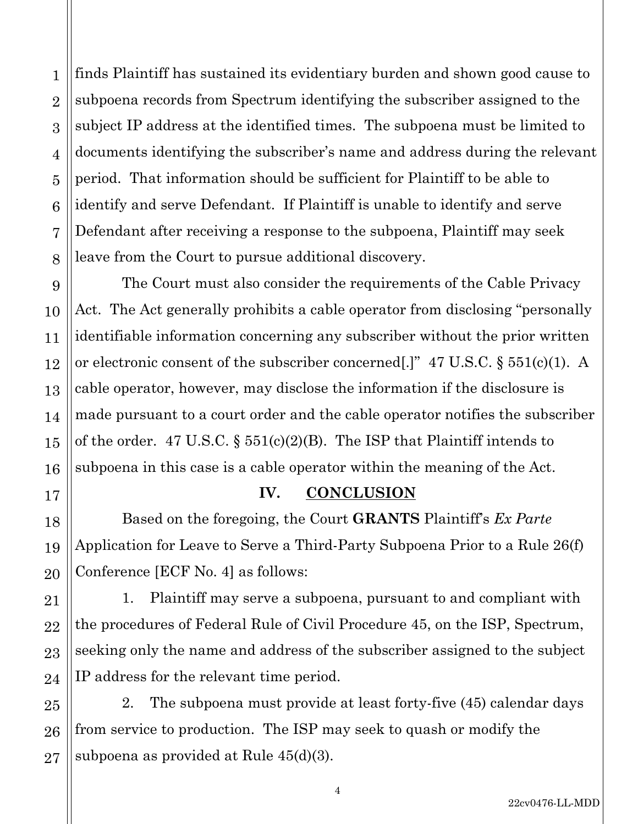1 finds Plaintiff has sustained its evidentiary burden and shown good cause to subpoena records from Spectrum identifying the subscriber assigned to the subject IP address at the identified times. The subpoena must be limited to documents identifying the subscriber's name and address during the relevant period. That information should be sufficient for Plaintiff to be able to identify and serve Defendant. If Plaintiff is unable to identify and serve Defendant after receiving a response to the subpoena, Plaintiff may seek leave from the Court to pursue additional discovery.

The Court must also consider the requirements of the Cable Privacy Act. The Act generally prohibits a cable operator from disclosing "personally identifiable information concerning any subscriber without the prior written or electronic consent of the subscriber concerned[.]" 47 U.S.C. § 551(c)(1). A cable operator, however, may disclose the information if the disclosure is made pursuant to a court order and the cable operator notifies the subscriber of the order. 47 U.S.C. § 551(c)(2)(B). The ISP that Plaintiff intends to subpoena in this case is a cable operator within the meaning of the Act.

## **IV. CONCLUSION**

Based on the foregoing, the Court **GRANTS** Plaintiff's *Ex Parte* Application for Leave to Serve a Third-Party Subpoena Prior to a Rule 26(f) Conference [ECF No. 4] as follows:

1. Plaintiff may serve a subpoena, pursuant to and compliant with the procedures of Federal Rule of Civil Procedure 45, on the ISP, Spectrum, seeking only the name and address of the subscriber assigned to the subject IP address for the relevant time period.

2. The subpoena must provide at least forty-five (45) calendar days from service to production. The ISP may seek to quash or modify the subpoena as provided at Rule 45(d)(3).